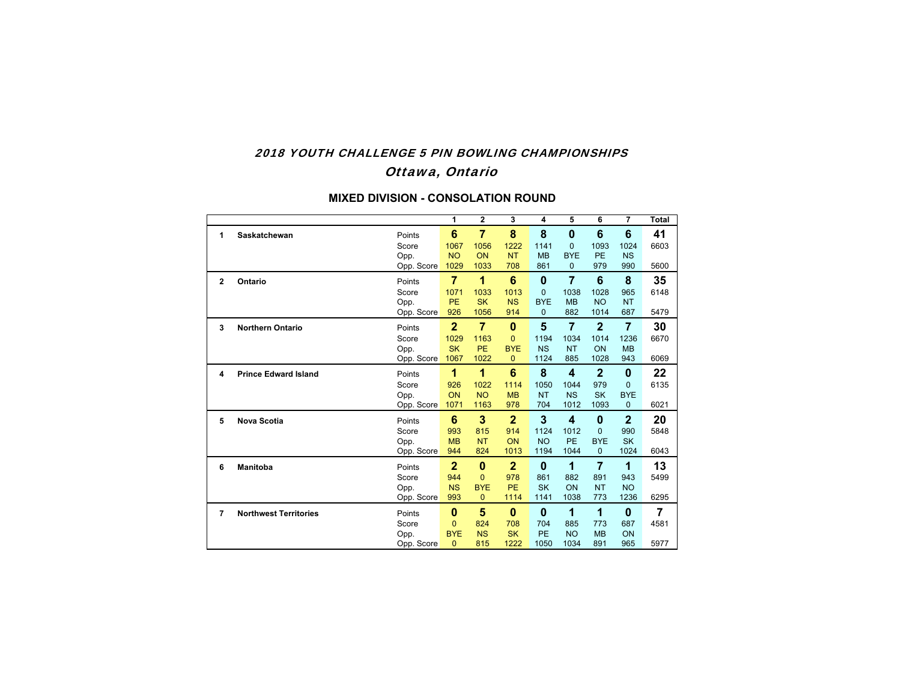## 2018 YOUTH CHALLENGE 5 PIN BOWLING CHAMPIONSHIPS Ottawa, Ontario

|                |                              |                    | 1                       | $\overline{2}$         | 3                | 4                | 5                          | 6                | $\overline{\mathbf{z}}$ | <b>Total</b>   |
|----------------|------------------------------|--------------------|-------------------------|------------------------|------------------|------------------|----------------------------|------------------|-------------------------|----------------|
| 1              | Saskatchewan                 | Points<br>Score    | $6\phantom{1}6$<br>1067 | $\overline{7}$<br>1056 | 8<br>1222        | 8<br>1141        | $\bf{0}$<br>$\Omega$       | 6<br>1093        | 6<br>1024               | 41<br>6603     |
|                |                              | Opp.<br>Opp. Score | <b>NO</b><br>1029       | ON<br>1033             | <b>NT</b><br>708 | <b>MB</b><br>861 | <b>BYE</b><br>$\mathbf{0}$ | <b>PE</b><br>979 | <b>NS</b><br>990        | 5600           |
| $\mathbf{2}$   | Ontario                      | Points             | $\overline{7}$          | 1                      | 6                | $\bf{0}$         | $\overline{7}$             | 6                | 8                       | 35             |
|                |                              | Score              | 1071                    | 1033                   | 1013             | $\Omega$         | 1038                       | 1028             | 965                     | 6148           |
|                |                              | Opp.               | PE                      | <b>SK</b>              | <b>NS</b>        | <b>BYE</b>       | <b>MB</b>                  | <b>NO</b>        | <b>NT</b>               |                |
|                |                              | Opp. Score         | 926                     | 1056                   | 914              | $\mathbf{0}$     | 882                        | 1014             | 687                     | 5479           |
| 3              | <b>Northern Ontario</b>      | Points             | $\overline{2}$          | $\overline{7}$         | $\bf{0}$         | 5                | $\overline{7}$             | $\mathbf{2}$     | $\overline{7}$          | 30             |
|                |                              | Score              | 1029                    | 1163                   | 0                | 1194             | 1034                       | 1014             | 1236                    | 6670           |
|                |                              | Opp.               | <b>SK</b>               | <b>PE</b>              | <b>BYE</b>       | <b>NS</b>        | <b>NT</b>                  | ON               | <b>MB</b>               |                |
|                |                              | Opp. Score         | 1067                    | 1022                   | $\Omega$         | 1124             | 885                        | 1028             | 943                     | 6069           |
| 4              | <b>Prince Edward Island</b>  | Points             | 1                       | 1                      | 6                | 8                | $\overline{\mathbf{4}}$    | $\mathbf{2}$     | 0                       | 22             |
|                |                              | Score              | 926                     | 1022                   | 1114             | 1050             | 1044                       | 979              | $\Omega$                | 6135           |
|                |                              | Opp.               | ON                      | <b>NO</b>              | <b>MB</b>        | <b>NT</b>        | <b>NS</b>                  | <b>SK</b>        | <b>BYE</b>              |                |
|                |                              | Opp. Score         | 1071                    | 1163                   | 978              | 704              | 1012                       | 1093             | $\overline{0}$          | 6021           |
| 5              | <b>Nova Scotia</b>           | Points             | 6                       | 3                      | $\overline{2}$   | 3                | 4                          | $\bf{0}$         | $\overline{2}$          | 20             |
|                |                              | Score              | 993                     | 815                    | 914              | 1124             | 1012                       | $\Omega$         | 990                     | 5848           |
|                |                              | Opp.               | <b>MB</b>               | <b>NT</b>              | ON               | <b>NO</b>        | PE                         | <b>BYE</b>       | <b>SK</b>               |                |
|                |                              | Opp. Score         | 944                     | 824                    | 1013             | 1194             | 1044                       | $\mathbf{0}$     | 1024                    | 6043           |
| 6              | <b>Manitoba</b>              | Points             | $\overline{2}$          | $\bf{0}$               | $\mathbf{2}$     | $\mathbf{0}$     | 1                          | $\overline{7}$   | 1                       | 13             |
|                |                              | Score              | 944                     | $\overline{0}$         | 978              | 861              | 882                        | 891              | 943                     | 5499           |
|                |                              | Opp.               | <b>NS</b>               | <b>BYE</b>             | PE               | <b>SK</b>        | ON                         | <b>NT</b>        | <b>NO</b>               |                |
|                |                              | Opp. Score         | 993                     | $\mathbf{0}$           | 1114             | 1141             | 1038                       | 773              | 1236                    | 6295           |
| $\overline{7}$ | <b>Northwest Territories</b> | Points             | $\bf{0}$                | 5                      | $\bf{0}$         | $\bf{0}$         | 1                          | 1                | 0                       | $\overline{7}$ |
|                |                              | Score              | $\Omega$                | 824                    | 708              | 704              | 885                        | 773              | 687                     | 4581           |
|                |                              | Opp.               | <b>BYE</b>              | <b>NS</b>              | <b>SK</b>        | PE               | <b>NO</b>                  | <b>MB</b>        | ON                      |                |
|                |                              | Opp. Score         | $\Omega$                | 815                    | 1222             | 1050             | 1034                       | 891              | 965                     | 5977           |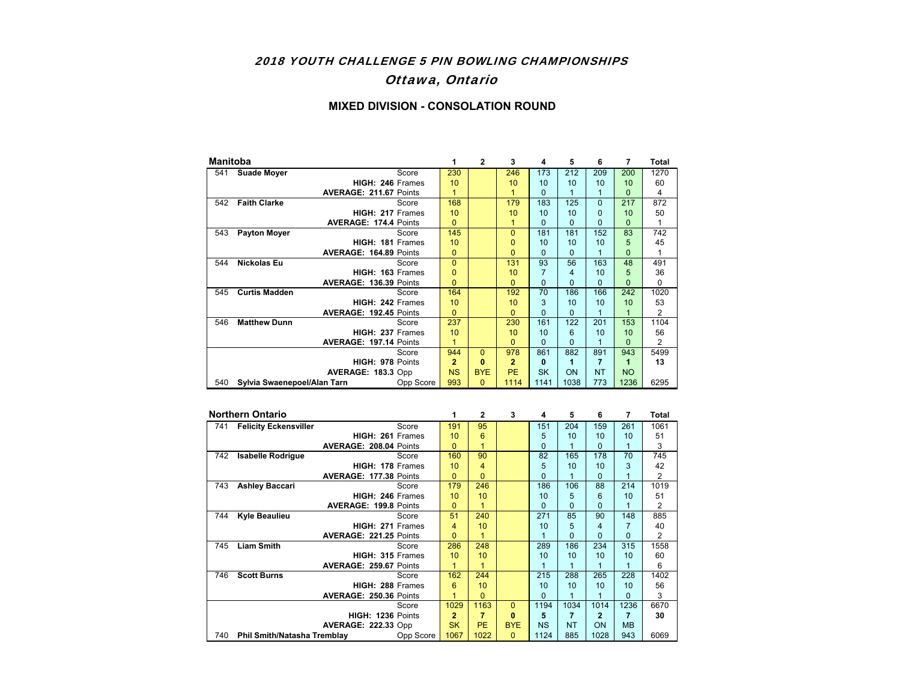### 2018 YOUTH CHALLENGE 5 PIN BOWLING CHAMPIONSHIPS

## Ottawa, Ontario

| <b>Manitoba</b> |                             |                               |           | 1            | $\mathbf{2}$ | 3              | 4         | 5        | 6         | 7         | Total          |
|-----------------|-----------------------------|-------------------------------|-----------|--------------|--------------|----------------|-----------|----------|-----------|-----------|----------------|
| 541             | <b>Suade Moyer</b>          |                               | Score     | 230          |              | 246            | 173       | 212      | 209       | 200       | 1270           |
|                 |                             | HIGH: 246 Frames              |           | 10           |              | 10             | 10        | 10       | 10        | 10        | 60             |
|                 |                             | <b>AVERAGE: 211.67 Points</b> |           | 1            |              |                | $\Omega$  | 1        | 1         | 0         | 4              |
| 542             | <b>Faith Clarke</b>         |                               | Score     | 168          |              | 179            | 183       | 125      | $\Omega$  | 217       | 872            |
|                 |                             | HIGH: 217 Frames              |           | 10           |              | 10             | 10        | 10       | 0         | 10        | 50             |
|                 |                             | <b>AVERAGE: 174.4 Points</b>  |           | $\Omega$     |              |                | $\Omega$  | $\Omega$ | $\Omega$  | $\Omega$  |                |
| 543             | <b>Payton Moyer</b>         |                               | Score     | 145          |              | $\Omega$       | 181       | 181      | 152       | 83        | 742            |
|                 |                             | HIGH: 181 Frames              |           | 10           |              | $\Omega$       | 10        | 10       | 10        | 5         | 45             |
|                 |                             | AVERAGE: 164.89 Points        |           | 0            |              | $\Omega$       | $\Omega$  | 0        |           | O         |                |
| 544             | <b>Nickolas Eu</b>          |                               | Score     | $\Omega$     |              | 131            | 93        | 56       | 163       | 48        | 491            |
|                 |                             | HIGH: 163 Frames              |           | $\Omega$     |              | 10             | 7         | 4        | 10        | 5         | 36             |
|                 |                             | AVERAGE: 136.39 Points        |           | $\Omega$     |              | $\Omega$       | $\Omega$  | 0        | $\Omega$  | O         | $\Omega$       |
| 545             | <b>Curtis Madden</b>        |                               | Score     | 164          |              | 192            | 70        | 186      | 166       | 242       | 1020           |
|                 |                             | HIGH: 242 Frames              |           | 10           |              | 10             | 3         | 10       | 10        | 10        | 53             |
|                 |                             | <b>AVERAGE: 192.45 Points</b> |           | $\Omega$     |              | $\Omega$       | $\Omega$  | $\Omega$ | 1         | 1         | $\overline{2}$ |
| 546             | <b>Matthew Dunn</b>         |                               | Score     | 237          |              | 230            | 161       | 122      | 201       | 153       | 1104           |
|                 |                             | HIGH: 237 Frames              |           | 10           |              | 10             | 10        | 6        | 10        | 10        | 56             |
|                 |                             | <b>AVERAGE: 197.14 Points</b> |           | 1            |              | $\Omega$       | $\Omega$  | $\Omega$ | 1         | O         | $\overline{2}$ |
|                 |                             |                               | Score     | 944          | $\Omega$     | 978            | 861       | 882      | 891       | 943       | 5499           |
|                 |                             | HIGH: 978 Points              |           | $\mathbf{2}$ | $\bf{0}$     | $\overline{2}$ | 0         | 1        | 7         | 1         | 13             |
|                 |                             | AVERAGE: 183.3 Opp            |           | <b>NS</b>    | <b>BYE</b>   | <b>PE</b>      | <b>SK</b> | ON       | <b>NT</b> | <b>NO</b> |                |
| 540             | Sylvia Swaenepoel/Alan Tarn |                               | Opp Score | 993          | 0            | 1114           | 1141      | 1038     | 773       | 1236      | 6295           |

|     | <b>Northern Ontario</b>            |                               |           |              | 2         | 3          | 4         | 5         | 6            | 7         | <b>Total</b> |
|-----|------------------------------------|-------------------------------|-----------|--------------|-----------|------------|-----------|-----------|--------------|-----------|--------------|
| 741 | <b>Felicity Eckensviller</b>       |                               | Score     | 191          | 95        |            | 151       | 204       | 159          | 261       | 1061         |
|     |                                    | HIGH: 261 Frames              |           | 10           | 6         |            | 5         | 10        | 10           | 10        | 51           |
|     |                                    | <b>AVERAGE: 208.04 Points</b> |           | $\Omega$     |           |            | $\Omega$  |           | 0            |           | 3            |
| 742 | <b>Isabelle Rodrigue</b>           |                               | Score     | 160          | 90        |            | 82        | 165       | 178          | 70        | 745          |
|     |                                    | HIGH: 178 Frames              |           | 10           | 4         |            | 5         | 10        | 10           | 3         | 42           |
|     |                                    | AVERAGE: 177.38 Points        |           | $\Omega$     | 0         |            | $\Omega$  |           | 0            |           | 2            |
| 743 | <b>Ashley Baccari</b>              |                               | Score     | 179          | 246       |            | 186       | 106       | 88           | 214       | 1019         |
|     |                                    | HIGH: 246 Frames              |           | 10           | 10        |            | 10        | 5         | 6            | 10        | 51           |
|     |                                    | <b>AVERAGE: 199.8 Points</b>  |           | $\Omega$     |           |            | $\Omega$  | $\Omega$  | 0            |           | 2            |
| 744 | <b>Kyle Beaulieu</b>               |                               | Score     | 51           | 240       |            | 271       | 85        | 90           | 148       | 885          |
|     |                                    | <b>HIGH: 271 Frames</b>       |           | 4            | 10        |            | 10        | 5         | 4            |           | 40           |
|     |                                    | AVERAGE: 221.25 Points        |           | $\Omega$     |           |            |           | $\Omega$  | 0            | $\Omega$  | 2            |
| 745 | <b>Liam Smith</b>                  |                               | Score     | 286          | 248       |            | 289       | 186       | 234          | 315       | 1558         |
|     |                                    | <b>HIGH: 315 Frames</b>       |           | 10           | 10        |            | 10        | 10        | 10           | 10        | 60           |
|     |                                    | <b>AVERAGE: 259.67 Points</b> |           | 1            | 1         |            |           |           | 1            |           | 6            |
| 746 | <b>Scott Burns</b>                 |                               | Score     | 162          | 244       |            | 215       | 288       | 265          | 228       | 1402         |
|     |                                    | HIGH: 288 Frames              |           | 6            | 10        |            | 10        | 10        | 10           | 10        | 56           |
|     |                                    | <b>AVERAGE: 250.36 Points</b> |           |              | $\Omega$  |            | $\Omega$  |           | 1            | $\Omega$  | 3            |
|     |                                    |                               | Score     | 1029         | 1163      | $\Omega$   | 1194      | 1034      | 1014         | 1236      | 6670         |
|     |                                    | HIGH: 1236 Points             |           | $\mathbf{2}$ | 7         | 0          | 5         | 7         | $\mathbf{2}$ | 7         | 30           |
|     |                                    | <b>AVERAGE: 222.33 Opp</b>    |           | <b>SK</b>    | <b>PE</b> | <b>BYE</b> | <b>NS</b> | <b>NT</b> | ON           | <b>MB</b> |              |
| 740 | <b>Phil Smith/Natasha Tremblay</b> |                               | Opp Score | 1067         | 1022      | 0          | 1124      | 885       | 1028         | 943       | 6069         |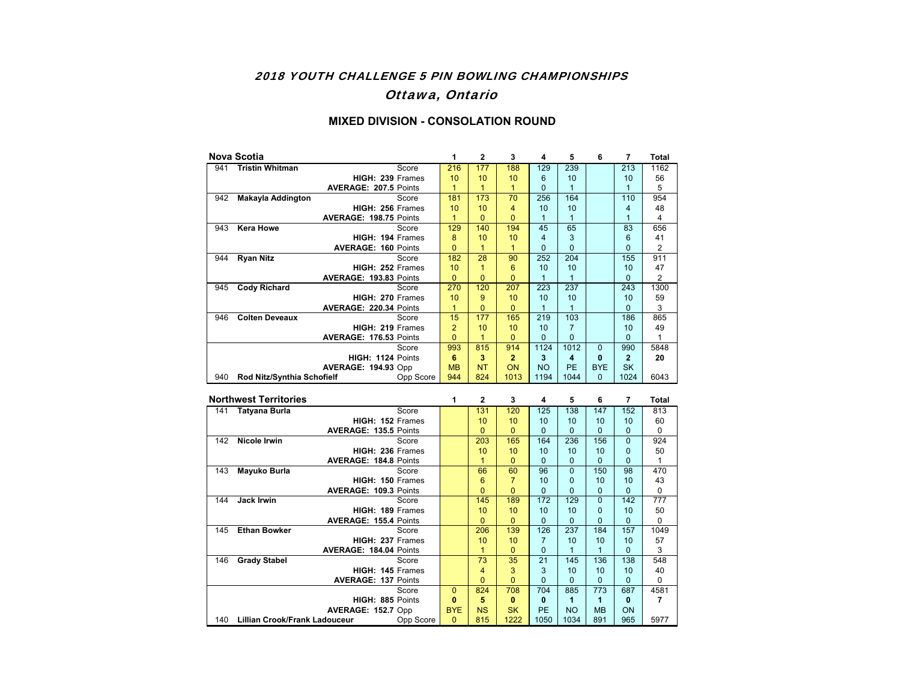### 2018 YOUTH CHALLENGE 5 PIN BOWLING CHAMPIONSHIPS

## Ottawa, Ontario

|     | <b>Nova Scotia</b>           |                                     | 1                    | $\mathbf{2}$                   | 3                    | 4                  | 5                   | 6              | $\overline{7}$      | <b>Total</b>          |
|-----|------------------------------|-------------------------------------|----------------------|--------------------------------|----------------------|--------------------|---------------------|----------------|---------------------|-----------------------|
| 941 | <b>Tristin Whitman</b>       | Score                               | 216                  | 177                            | 188                  | 129                | 239                 |                | 213                 | 1162                  |
|     |                              | HIGH: 239 Frames                    | 10                   | 10                             | 10                   | 6                  | 10                  |                | 10                  | 56                    |
|     |                              | AVERAGE: 207.5 Points               | $\mathbf{1}$         | $\mathbf{1}$                   | $\mathbf{1}$         | $\mathbf{0}$       | $\mathbf{1}$        |                | $\mathbf{1}$        | 5                     |
| 942 | <b>Makayla Addington</b>     | Score                               | 181                  | 173                            | 70                   | 256                | 164                 |                | 110                 | 954                   |
|     |                              | HIGH: 256 Frames                    | 10                   | 10                             | $\overline{4}$       | 10                 | 10                  |                | $\overline{4}$      | 48                    |
|     |                              | AVERAGE: 198.75 Points              | $\mathbf{1}$         | $\overline{0}$                 | $\overline{0}$       | $\mathbf{1}$       | $\overline{1}$      |                | $\mathbf{1}$        | $\overline{4}$        |
| 943 | <b>Kera Howe</b>             | Score                               | 129                  | 140                            | 194                  | 45                 | 65                  |                | 83                  | 656                   |
|     |                              | HIGH: 194 Frames                    | 8                    | 10                             | 10                   | $\overline{4}$     | 3                   |                | 6                   | 41                    |
|     |                              | <b>AVERAGE: 160 Points</b>          | $\overline{0}$       | $\mathbf{1}$                   | $\mathbf{1}$         | $\Omega$           | $\Omega$            |                | $\overline{0}$      | $\overline{2}$<br>911 |
| 944 | <b>Ryan Nitz</b>             | Score                               | 182                  | 28                             | 90                   | 252                | 204                 |                | 155                 |                       |
|     |                              | HIGH: 252 Frames                    | 10<br>$\overline{0}$ | $\mathbf{1}$<br>$\overline{0}$ | 6<br>$\overline{0}$  | 10<br>$\mathbf{1}$ | 10<br>$\mathbf{1}$  |                | 10<br>$\mathbf{0}$  | 47<br>2               |
| 945 | <b>Cody Richard</b>          | AVERAGE: 193.83 Points<br>Score     | 270                  | 120                            | 207                  | 223                | 237                 |                | 243                 | 1300                  |
|     |                              | HIGH: 270 Frames                    | 10                   | 9                              | 10                   | 10                 | 10                  |                | 10                  | 59                    |
|     |                              | AVERAGE: 220.34 Points              | $\mathbf{1}$         | $\overline{0}$                 | $\Omega$             | $\mathbf{1}$       | $\mathbf{1}$        |                | $\overline{0}$      | 3                     |
| 946 | <b>Colten Deveaux</b>        | Score                               | $\overline{15}$      | 177                            | 165                  | 219                | 103                 |                | 186                 | 865                   |
|     |                              | HIGH: 219 Frames                    | $\overline{2}$       | 10                             | 10                   | 10                 | $\overline{7}$      |                | 10                  | 49                    |
|     |                              | AVERAGE: 176.53 Points              | $\overline{0}$       | $\mathbf{1}$                   | $\overline{0}$       | $\overline{0}$     | $\Omega$            |                | $\overline{0}$      | $\mathbf{1}$          |
|     |                              | Score                               | 993                  | 815                            | 914                  | 1124               | 1012                | $\overline{0}$ | 990                 | 5848                  |
|     |                              | HIGH: 1124 Points                   | 6                    | 3                              | $\overline{2}$       | 3                  | $\overline{\bf{4}}$ | $\mathbf{0}$   | $\overline{2}$      | 20                    |
|     |                              | AVERAGE: 194.93 Opp                 | <b>MB</b>            | <b>NT</b>                      | ON                   | <b>NO</b>          | PF                  | <b>BYE</b>     | <b>SK</b>           |                       |
| 940 | Rod Nitz/Synthia Schofielf   | Opp Score                           | 944                  | 824                            | 1013                 | 1194               | 1044                | $\Omega$       | 1024                | 6043                  |
|     |                              |                                     |                      |                                |                      |                    |                     |                |                     |                       |
|     |                              |                                     |                      |                                |                      |                    |                     |                |                     |                       |
|     | <b>Northwest Territories</b> |                                     | 1                    | $\overline{2}$                 | 3                    | 4                  | 5                   | 6              | $\overline{7}$      | <b>Total</b>          |
| 141 | <b>Tatyana Burla</b>         | Score                               |                      | 131                            | 120                  | 125                | 138                 | 147            | 152                 | 813                   |
|     |                              | HIGH: 152 Frames                    |                      | 10                             | 10                   | 10                 | 10                  | 10             | 10                  | 60                    |
|     |                              | <b>AVERAGE: 135.5 Points</b>        |                      | $\overline{0}$                 | $\mathbf{0}$         | $\Omega$           | $\Omega$            | $\overline{0}$ | $\overline{0}$      | 0                     |
| 142 | <b>Nicole Irwin</b>          | Score                               |                      | 203                            | 165                  | 164                | 236                 | 156            | $\overline{0}$      | 924                   |
|     |                              | HIGH: 236 Frames                    |                      | 10                             | 10                   | 10                 | 10                  | 10             | $\overline{0}$      | 50                    |
|     |                              | <b>AVERAGE: 184.8 Points</b>        |                      | $\mathbf{1}$                   | $\mathbf{0}$         | $\Omega$           | $\mathbf{0}$        | $\mathbf{0}$   | $\overline{0}$      | $\mathbf{1}$          |
| 143 | Mayuko Burla                 | Score                               |                      | 66                             | 60                   | 96                 | $\overline{0}$      | 150            | 98                  | 470                   |
|     |                              | HIGH: 150 Frames                    |                      | $6\phantom{1}6$                | $\overline{7}$       | 10                 | $\Omega$            | 10             | 10                  | 43                    |
|     |                              | AVERAGE: 109.3 Points               |                      | $\overline{0}$                 | $\overline{0}$       | $\Omega$           | $\Omega$            | $\mathbf{0}$   | $\mathbf{0}$        | 0                     |
| 144 | <b>Jack Irwin</b>            | Score                               |                      | 145                            | 189                  | 172                | 129                 | $\overline{0}$ | 142                 | $\overline{777}$      |
|     |                              | HIGH: 189 Frames                    |                      | 10                             | 10                   | 10                 | 10                  | $\mathbf{0}$   | 10                  | 50                    |
|     |                              | <b>AVERAGE: 155.4 Points</b>        |                      | $\overline{0}$                 | $\overline{0}$       | $\Omega$           | $\Omega$            | $\overline{0}$ | $\overline{0}$      | $\mathbf 0$           |
| 145 | <b>Ethan Bowker</b>          | Score                               |                      | 206                            | 139                  | 126                | 237                 | 184            | 157                 | 1049                  |
|     |                              | HIGH: 237 Frames                    |                      | 10                             | 10                   | $\overline{7}$     | 10                  | 10             | 10                  | 57                    |
|     |                              | AVERAGE: 184.04 Points<br>Score     |                      | $\overline{1}$                 | $\overline{0}$       | $\mathbf 0$<br>21  | $\mathbf{1}$<br>145 | $\mathbf{1}$   | $\mathbf{0}$<br>138 | 3<br>548              |
| 146 | <b>Grady Stabel</b>          | <b>HIGH: 145 Frames</b>             |                      | 73<br>$\overline{4}$           | $\overline{35}$<br>3 | 3                  | 10                  | 136<br>10      | 10                  | 40                    |
|     |                              |                                     |                      | $\mathbf{0}$                   | $\overline{0}$       | $\mathbf{0}$       | $\Omega$            | $\Omega$       | $\Omega$            | $\Omega$              |
|     |                              | <b>AVERAGE: 137 Points</b><br>Score | $\overline{0}$       | 824                            | 708                  | 704                | 885                 | 773            | 687                 | 4581                  |
|     |                              | HIGH: 885 Points                    | $\bf{0}$             | 5                              | $\mathbf{0}$         | 0                  | 1                   | 1              | $\mathbf{0}$        | 7                     |
|     |                              | AVERAGE: 152.7 Opp                  | <b>BYE</b>           | <b>NS</b>                      | <b>SK</b>            | PE                 | <b>NO</b>           | <b>MB</b>      | ON                  |                       |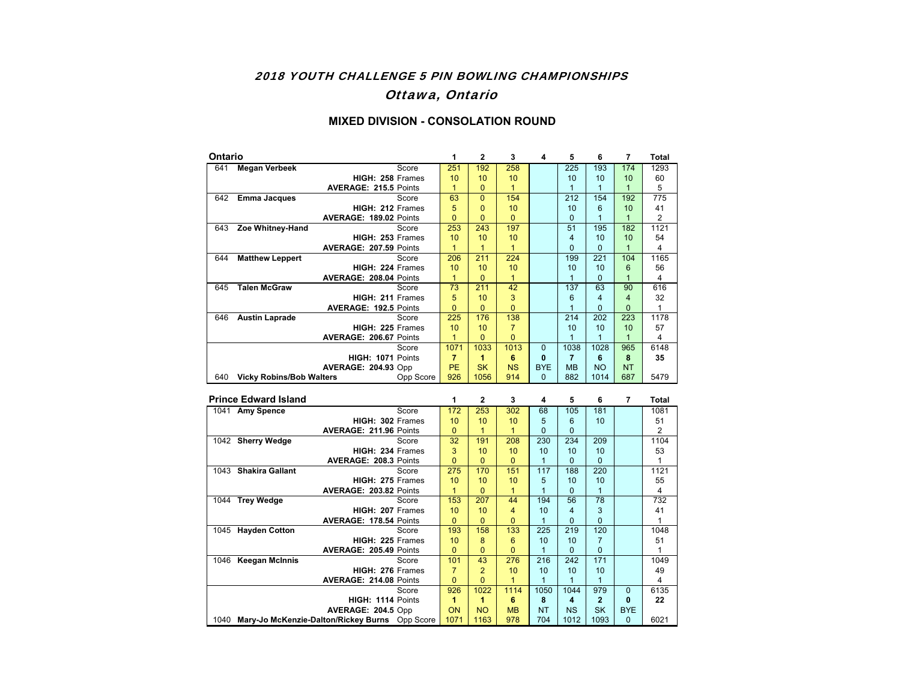### 2018 YOUTH CHALLENGE 5 PIN BOWLING CHAMPIONSHIPS

## Ottawa, Ontario

| <b>Ontario</b> |                                 |                                         | 1                               | $\overline{2}$ | 3                   | 4              | 5                       | 6                           | 7                                         | <b>Total</b>       |
|----------------|---------------------------------|-----------------------------------------|---------------------------------|----------------|---------------------|----------------|-------------------------|-----------------------------|-------------------------------------------|--------------------|
| 641            | <b>Megan Verbeek</b>            | Score                                   | 251                             | 192            | 258                 |                | 225                     | 193                         | 174                                       | 1293               |
|                |                                 | HIGH: 258 Frames                        | 10                              | 10             | 10                  |                | 10                      | 10                          | 10                                        | 60                 |
|                |                                 | AVERAGE: 215.5 Points                   | $\overline{1}$                  | $\Omega$       | $\overline{1}$      |                | $\mathbf{1}$            | $\mathbf{1}$                | $\mathbf{1}$                              | 5                  |
| 642            | <b>Emma Jacques</b>             | Score                                   | 63                              | $\Omega$       | 154                 |                | 212                     | 154                         | 192                                       | 775                |
|                |                                 | HIGH: 212 Frames                        | 5                               | $\mathbf{0}$   | 10                  |                | 10                      | 6                           | 10                                        | 41                 |
|                |                                 | AVERAGE: 189.02 Points                  | $\overline{0}$                  | $\mathbf{0}$   | $\overline{0}$      |                | $\Omega$                | $\mathbf{1}$                | $\mathbf{1}$                              | $\overline{2}$     |
| 643            | Zoe Whitney-Hand                | Score                                   | 253                             | 243            | 197                 |                | 51                      | 195                         | 182                                       | 1121               |
|                |                                 | HIGH: 253 Frames                        | 10                              | 10             | 10                  |                | $\overline{4}$          | 10                          | 10                                        | 54                 |
|                |                                 | <b>AVERAGE: 207.59 Points</b>           | $\mathbf{1}$                    | $\mathbf{1}$   | $\mathbf{1}$        |                | $\mathbf 0$             | $\mathbf{0}$                | $\mathbf{1}$                              | 4                  |
| 644            | <b>Matthew Leppert</b>          | Score                                   | 206                             | 211            | 224                 |                | 199                     | 221                         | 104                                       | 1165               |
|                |                                 | HIGH: 224 Frames                        | 10                              | 10             | 10                  |                | 10                      | 10                          | 6                                         | 56                 |
|                |                                 | AVERAGE: 208.04 Points                  | $\mathbf{1}$<br>$\overline{73}$ | $\mathbf{0}$   | $\mathbf{1}$<br>42  |                | $\mathbf{1}$<br>137     | $\overline{0}$<br>63        | $\mathbf{1}$<br>90                        | 4                  |
| 645            | <b>Talen McGraw</b>             | Score                                   |                                 | 211            |                     |                |                         | 4                           |                                           | 616                |
|                |                                 | HIGH: 211 Frames                        | 5<br>$\overline{0}$             | 10<br>$\Omega$ | 3<br>$\overline{0}$ |                | 6<br>$\mathbf{1}$       | $\overline{0}$              | $\overline{\mathbf{4}}$<br>$\overline{0}$ | 32<br>$\mathbf{1}$ |
| 646            | <b>Austin Laprade</b>           | AVERAGE: 192.5 Points<br>Score          | 225                             | 176            | 138                 |                | 214                     | 202                         | 223                                       | 1178               |
|                |                                 | HIGH: 225 Frames                        | 10                              | 10             | $\overline{7}$      |                | 10                      | 10                          | 10                                        | 57                 |
|                |                                 | AVERAGE: 206.67 Points                  | $\mathbf{1}$                    | $\Omega$       | $\overline{0}$      |                | $\mathbf{1}$            | $\mathbf{1}$                | $\mathbf{1}$                              | 4                  |
|                |                                 | Score                                   | 1071                            | 1033           | 1013                | $\mathbf 0$    | 1038                    | 1028                        | 965                                       | 6148               |
|                |                                 | HIGH: 1071 Points                       | $\overline{7}$                  | 1              | 6                   | $\mathbf{0}$   | $\overline{7}$          | 6                           | 8                                         | 35                 |
|                |                                 | <b>AVERAGE: 204.93 Opp</b>              | <b>PE</b>                       | <b>SK</b>      | <b>NS</b>           | <b>BYE</b>     | <b>MB</b>               | <b>NO</b>                   | <b>NT</b>                                 |                    |
| 640            | <b>Vicky Robins/Bob Walters</b> | Opp Score                               | 926                             | 1056           | 914                 | $\mathbf{0}$   | 882                     | 1014                        | 687                                       | 5479               |
|                |                                 |                                         |                                 |                |                     |                |                         |                             |                                           |                    |
|                |                                 |                                         |                                 |                |                     |                |                         |                             |                                           |                    |
|                | <b>Prince Edward Island</b>     |                                         | 1                               | $\overline{2}$ | 3                   | 4              | 5                       | 6                           | 7                                         | <b>Total</b>       |
|                | 1041 Amy Spence                 | Score                                   | 172                             | 253            | 302                 | 68             | 105                     | 181                         |                                           | 1081               |
|                |                                 | HIGH: 302 Frames                        | 10                              | 10             | 10                  | 5              | 6                       | 10                          |                                           | 51                 |
|                |                                 | AVERAGE: 211.96 Points                  | $\mathbf{0}$                    | $\mathbf{1}$   | $\mathbf{1}$        | $\overline{0}$ | $\Omega$                |                             |                                           | 2                  |
|                | 1042 Sherry Wedge               | Score                                   | 32                              | 191            | 208                 | 230            | 234                     | 209                         |                                           | 1104               |
|                |                                 | HIGH: 234 Frames                        | 3                               | 10             | 10                  | 10             | 10                      | 10                          |                                           | 53                 |
|                |                                 | <b>AVERAGE: 208.3 Points</b>            | $\overline{0}$                  | $\Omega$       | $\overline{0}$      | $\mathbf{1}$   | $\Omega$                | $\overline{0}$              |                                           | $\mathbf{1}$       |
| 1043           | <b>Shakira Gallant</b>          | Score                                   | 275                             | 170            | 151                 | 117            | 188                     | 220                         |                                           | 1121               |
|                |                                 | HIGH: 275 Frames                        | 10                              | 10             | 10                  | 5              | 10                      | 10                          |                                           | 55                 |
|                |                                 | AVERAGE: 203.82 Points                  | $\mathbf{1}$                    | $\Omega$       | $\mathbf{1}$        | $\mathbf{1}$   | $\Omega$                | $\mathbf{1}$                |                                           | 4                  |
| 1044           | <b>Trey Wedge</b>               | Score                                   | 153                             | 207            | 44                  | 194            | 56                      | 78                          |                                           | 732                |
|                |                                 | HIGH: 207 Frames                        | 10                              | 10             | $\overline{4}$      | 10             | $\overline{\mathbf{4}}$ | 3                           |                                           | 41                 |
|                |                                 | AVERAGE: 178.54 Points                  | $\overline{0}$                  | $\Omega$       | $\overline{0}$      | $\mathbf{1}$   | $\Omega$                | $\overline{0}$              |                                           | $\mathbf{1}$       |
| 1045           | <b>Hayden Cotton</b>            | Score                                   | 193                             | 158            | 133                 | 225            | 219                     | 120                         |                                           | 1048               |
|                |                                 | HIGH: 225 Frames                        | 10                              | 8              | 6                   | 10             | 10                      | $\overline{7}$              |                                           | 51                 |
|                |                                 | AVERAGE: 205.49 Points                  | $\overline{0}$                  | $\overline{0}$ | $\overline{0}$      | $\mathbf{1}$   | $\mathbf{0}$            | $\mathbf 0$                 |                                           | $\mathbf{1}$       |
| 1046           | <b>Keegan McInnis</b>           | Score                                   | 101                             | 43             | 276                 | 216            | 242                     | 171                         |                                           | 1049               |
|                |                                 | HIGH: 276 Frames                        | $\overline{7}$                  | $\overline{2}$ | 10                  | 10             | 10                      | 10                          |                                           | 49                 |
|                |                                 | <b>AVERAGE: 214.08 Points</b>           | $\overline{0}$                  | $\Omega$       | $\mathbf{1}$        | $\mathbf{1}$   | $\mathbf{1}$            | $\mathbf{1}$                |                                           | 4                  |
|                |                                 | Score                                   | 926                             | 1022           | 1114                | 1050           | 1044                    | 979                         | $\overline{0}$                            | 6135               |
|                |                                 | HIGH: 1114 Points<br>AVERAGE: 204.5 Opp | 1<br>ON                         | 1<br><b>NO</b> | 6<br><b>MB</b>      | 8<br><b>NT</b> | 4<br><b>NS</b>          | $\overline{2}$<br><b>SK</b> | 0<br><b>BYE</b>                           | 22                 |